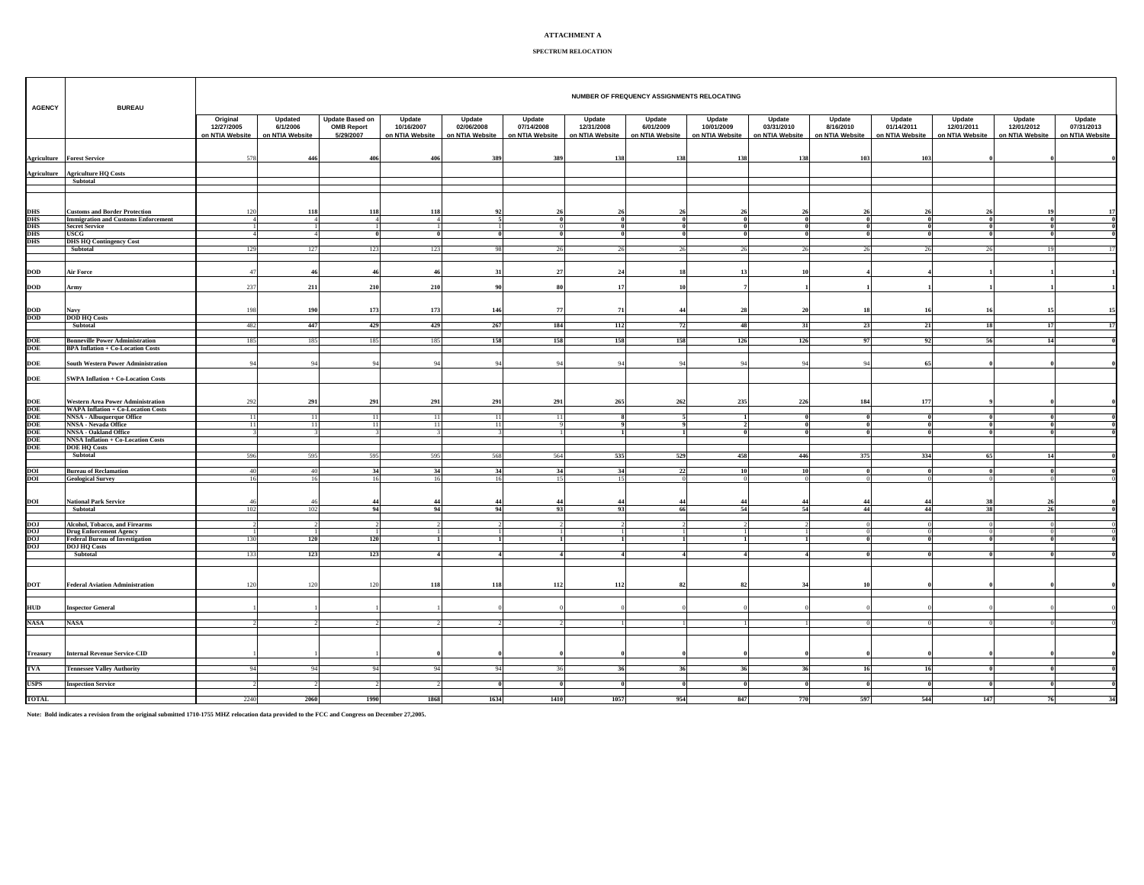## **ATTACHMENT A**

## **SPECTRUM RELOCATION**

| <b>AGENCY</b>                                                   | <b>BUREAU</b>                                                                 |                               | NUMBER OF FREQUENCY ASSIGNMENTS RELOCATING<br>Updated<br><b>Update Based on</b><br>Update<br>Update<br>Update<br>Update<br>Update<br>Update<br>Update<br>Original<br>Update<br>Update<br>Update<br>Update<br>Update |                                |                                  |                                  |                               |                               |                              |                               |                               |                              |                               |                               |                               |                               |  |
|-----------------------------------------------------------------|-------------------------------------------------------------------------------|-------------------------------|---------------------------------------------------------------------------------------------------------------------------------------------------------------------------------------------------------------------|--------------------------------|----------------------------------|----------------------------------|-------------------------------|-------------------------------|------------------------------|-------------------------------|-------------------------------|------------------------------|-------------------------------|-------------------------------|-------------------------------|-------------------------------|--|
|                                                                 |                                                                               | 12/27/2005<br>on NTIA Website | 6/1/2006<br>on NTIA Website                                                                                                                                                                                         | <b>OMB Report</b><br>5/29/2007 | 10/16/2007<br>on NTIA Website    | 02/06/2008<br>on NTIA Website    | 07/14/2008<br>on NTIA Website | 12/31/2008<br>on NTIA Website | 6/01/2009<br>on NTIA Website | 10/01/2009<br>on NTIA Website | 03/31/2010<br>on NTIA Website | 8/16/2010<br>on NTIA Website | 01/14/2011<br>on NTIA Website | 12/01/2011<br>on NTIA Website | 12/01/2012<br>on NTIA Website | 07/31/2013<br>on NTIA Website |  |
| Agriculture                                                     | <b>Forest Service</b>                                                         | 578                           | 446                                                                                                                                                                                                                 | 406                            | 406                              | 389                              | 389                           | 138                           | 138                          | 138                           | 138                           | 103                          | 103                           |                               |                               |                               |  |
| <b>Agriculture</b>                                              | <b>Agriculture HQ Costs</b><br>Subtotal                                       |                               |                                                                                                                                                                                                                     |                                |                                  |                                  |                               |                               |                              |                               |                               |                              |                               |                               |                               |                               |  |
| <b>DHS</b>                                                      | <b>Customs and Border Protection</b>                                          | 120                           | 118                                                                                                                                                                                                                 | 118                            | 118                              | 92                               | 26                            |                               | 26                           |                               |                               | 26                           |                               | 26                            |                               | 17                            |  |
| <b>DHS</b><br><b>DHS</b>                                        | <b>Immigration and Customs Enforcement</b><br><b>Secret Service</b>           | $\overline{4}$                |                                                                                                                                                                                                                     | 4<br>$\blacksquare$            | $\overline{4}$<br>$\overline{1}$ | 5 <sup>1</sup><br>$\overline{1}$ | $\theta$                      | $\bf{0}$<br>$\mathbf{0}$      | $\bf{0}$<br>- 0              |                               | n                             | $\theta$                     |                               | $\bf{0}$<br>$\overline{0}$    | $\bf{0}$<br>$\theta$          |                               |  |
| DHS                                                             | USCG                                                                          |                               |                                                                                                                                                                                                                     |                                | $\bf{0}$                         | $\bf{0}$                         |                               |                               |                              |                               |                               |                              |                               |                               |                               |                               |  |
| <b>DHS</b>                                                      | <b>DHS HQ Contingency Cost</b>                                                |                               |                                                                                                                                                                                                                     |                                |                                  |                                  |                               |                               |                              |                               |                               |                              |                               |                               |                               |                               |  |
|                                                                 | Subtotal                                                                      | 129                           | 127                                                                                                                                                                                                                 | 123                            | 123                              | 98                               | 26                            |                               | 26                           |                               |                               | 26                           |                               | 26                            | 19                            |                               |  |
|                                                                 |                                                                               |                               |                                                                                                                                                                                                                     |                                | 46                               |                                  |                               |                               |                              |                               |                               |                              |                               |                               |                               |                               |  |
| $\bf{DOD}$                                                      | <b>Air Force</b>                                                              | 47                            |                                                                                                                                                                                                                     | 46                             |                                  | 31                               | 27                            | 24                            | 18                           |                               |                               |                              |                               |                               |                               |                               |  |
| $\bf{DOD}$                                                      | Army                                                                          | 237                           | 211                                                                                                                                                                                                                 | 210                            | 210                              | 90                               | 80                            | 17                            | 10                           |                               |                               |                              |                               |                               |                               |                               |  |
| $\frac{\text{DOD}}{\text{DOD}}$                                 | Navy                                                                          | 198                           | 190                                                                                                                                                                                                                 | 173                            | 173                              | 146                              | 77                            | 71                            | 44                           | 28                            | 20                            | 18                           |                               | 16                            | 15                            | 15                            |  |
|                                                                 | <b>DOD HQ Costs</b>                                                           |                               |                                                                                                                                                                                                                     |                                |                                  |                                  |                               |                               |                              |                               |                               |                              |                               |                               |                               |                               |  |
|                                                                 | Subtotal                                                                      | 482                           | 447                                                                                                                                                                                                                 | 429                            | 429                              | 267                              | 184                           | 112                           | 72                           | 48                            | $\overline{31}$               | 23                           | 21                            | 18                            | 17                            | 17                            |  |
| DOE<br>DOE                                                      | <b>Bonneville Power Administration</b>                                        | 185                           | 185                                                                                                                                                                                                                 | 185                            | 185                              | 158                              | 158                           | 158                           | 158                          | 126                           | 126                           | 97                           | 92                            | 56                            | 14                            |                               |  |
|                                                                 | <b>BPA Inflation + Co-Location Costs</b>                                      |                               |                                                                                                                                                                                                                     |                                |                                  |                                  |                               |                               |                              |                               |                               |                              |                               |                               |                               |                               |  |
| DOE                                                             | <b>South Western Power Administration</b>                                     | 94                            | $Q_2$                                                                                                                                                                                                               | 94                             | 94                               | 94                               | 94                            | 94                            | 94                           | 94                            | 94                            | 94                           |                               |                               |                               |                               |  |
| <b>DOE</b>                                                      | <b>SWPA Inflation + Co-Location Costs</b>                                     |                               |                                                                                                                                                                                                                     |                                |                                  |                                  |                               |                               |                              |                               |                               |                              |                               |                               |                               |                               |  |
|                                                                 |                                                                               |                               |                                                                                                                                                                                                                     |                                |                                  |                                  |                               |                               |                              |                               |                               |                              |                               |                               |                               |                               |  |
|                                                                 | <b>Western Area Power Administration</b>                                      | 292                           | 291                                                                                                                                                                                                                 | 291                            | 291                              | 291                              | 291                           | 265                           | 262                          | 235                           | 226                           | 184                          | 177                           |                               |                               |                               |  |
| DOE<br>DOE<br>DOE<br>DOE<br>DOE<br>DOE                          | <b>WAPA Inflation + Co-Location Costs</b><br><b>NNSA</b> - Albuquerque Office | 11                            |                                                                                                                                                                                                                     | 11                             | 11                               | 11                               | 11                            |                               |                              |                               |                               |                              |                               |                               |                               |                               |  |
|                                                                 | NNSA - Nevada Office                                                          | 11                            | л.<br>$\overline{1}$                                                                                                                                                                                                | 11                             | 11                               | 11                               | $\mathbf{Q}$                  |                               | $\overline{9}$               |                               |                               | $\theta$                     |                               | $\theta$                      |                               |                               |  |
|                                                                 | <b>NNSA - Oakland Office</b>                                                  |                               |                                                                                                                                                                                                                     |                                |                                  |                                  |                               |                               | $\overline{1}$               |                               |                               | $\theta$                     |                               | $\theta$                      |                               |                               |  |
|                                                                 | <b>NNSA Inflation + Co-Location Costs</b>                                     |                               |                                                                                                                                                                                                                     |                                |                                  |                                  |                               |                               |                              |                               |                               |                              |                               |                               |                               |                               |  |
|                                                                 | <b>DOE HQ Costs</b><br>Subtotal                                               | 596                           | 595                                                                                                                                                                                                                 | 595                            | 595                              | 568                              | 564                           | 535                           | 529                          | 458                           | 446                           | 375                          | 334                           | 65                            | 14                            |                               |  |
|                                                                 |                                                                               |                               |                                                                                                                                                                                                                     |                                |                                  |                                  |                               |                               |                              |                               |                               |                              |                               |                               |                               |                               |  |
| DOI<br>DOI                                                      | <b>Bureau of Reclamation</b>                                                  | 40                            | 40                                                                                                                                                                                                                  | 34                             | 34                               | 34                               | 34                            | 34                            | 22                           | 10                            | 10                            | - 0                          |                               | $\theta$                      | -n l                          |                               |  |
|                                                                 | <b>Geological Survey</b>                                                      | 16                            | 16                                                                                                                                                                                                                  | 16                             | 16                               | 16                               | 15                            | 15                            | $\overline{0}$               |                               |                               |                              |                               |                               |                               |                               |  |
| <b>DOI</b>                                                      | <b>National Park Service</b>                                                  | 46                            | $\mathbf{A}$                                                                                                                                                                                                        | 44                             | 44                               | 44                               | 44                            | 44                            | 44                           | 44                            | 44                            | 44                           | 4                             | 38                            | 26                            |                               |  |
|                                                                 | Subtotal                                                                      | 102                           | 102                                                                                                                                                                                                                 | 94                             | 94                               | 94                               | 93                            | 93                            | 66                           | 54                            | 54                            | 44                           | 44                            | 38                            | 26                            |                               |  |
|                                                                 |                                                                               |                               |                                                                                                                                                                                                                     |                                |                                  |                                  |                               |                               | $\gamma$                     |                               |                               |                              |                               | $\Omega$                      | $\Omega$                      |                               |  |
| $\frac{\text{D} \text{O} \text{I}}{\text{D} \text{O} \text{I}}$ | Alcohol, Tobacco, and Firearms<br><b>Drug Enforcement Agency</b>              |                               |                                                                                                                                                                                                                     |                                |                                  |                                  |                               |                               |                              |                               |                               |                              |                               | $\Omega$                      | $\Omega$                      |                               |  |
| DOJ<br>DOJ                                                      | <b>Federal Bureau of Investigation</b>                                        | 130                           | 120                                                                                                                                                                                                                 | 120                            |                                  | $\mathbf{1}$                     |                               |                               |                              |                               |                               | $\theta$                     | $\theta$                      | $\theta$                      | $\mathbf{0}$                  |                               |  |
|                                                                 | <b>DOJ HQ Costs</b><br>Subtotal                                               | 133                           |                                                                                                                                                                                                                     | 123                            |                                  | $\overline{4}$                   | $\overline{\mathbf{4}}$       | $\overline{4}$                | $\overline{4}$               |                               |                               | $\theta$                     |                               | $\theta$                      |                               |                               |  |
|                                                                 |                                                                               |                               | 123                                                                                                                                                                                                                 |                                | $\overline{4}$                   |                                  |                               |                               |                              |                               |                               |                              |                               |                               |                               |                               |  |
|                                                                 |                                                                               |                               |                                                                                                                                                                                                                     |                                |                                  |                                  |                               |                               |                              |                               |                               |                              |                               |                               |                               |                               |  |
| <b>DOT</b>                                                      | <b>Federal Aviation Administration</b>                                        | 120                           | 120                                                                                                                                                                                                                 | 120                            | 118                              | 118                              | 112                           | 112                           | 82                           | 82                            |                               | 10                           |                               |                               |                               |                               |  |
| HUD                                                             |                                                                               |                               |                                                                                                                                                                                                                     |                                |                                  |                                  |                               |                               |                              |                               |                               |                              |                               |                               |                               |                               |  |
|                                                                 | <b>Inspector General</b>                                                      |                               |                                                                                                                                                                                                                     |                                |                                  |                                  |                               |                               |                              |                               |                               |                              |                               |                               |                               |                               |  |
| <b>NASA</b>                                                     | <b>NASA</b>                                                                   |                               |                                                                                                                                                                                                                     |                                |                                  |                                  |                               |                               |                              |                               |                               |                              |                               |                               |                               |                               |  |
|                                                                 |                                                                               |                               |                                                                                                                                                                                                                     |                                |                                  |                                  |                               |                               |                              |                               |                               |                              |                               |                               |                               |                               |  |
| <b>Treasury</b>                                                 | <b>Internal Revenue Service-CID</b>                                           |                               |                                                                                                                                                                                                                     |                                |                                  |                                  |                               |                               |                              |                               |                               |                              |                               |                               |                               |                               |  |
|                                                                 |                                                                               |                               |                                                                                                                                                                                                                     |                                |                                  |                                  |                               |                               |                              |                               |                               |                              |                               |                               |                               |                               |  |
| <b>TVA</b>                                                      | <b>Tennessee Valley Authority</b>                                             | 94                            | 94                                                                                                                                                                                                                  | 94                             | 94                               | 94                               | 36                            | 36                            | 36                           | 36                            | 36                            | 16                           | 16                            |                               |                               |                               |  |
| <b>USPS</b>                                                     | <b>Inspection Service</b>                                                     | $\mathfrak{D}$                |                                                                                                                                                                                                                     |                                |                                  | $\theta$                         | $\theta$                      | $\mathbf{0}$                  | $\bf{0}$                     |                               |                               | - 0                          |                               | $\theta$                      | $\theta$                      |                               |  |
| <b>TOTAL</b>                                                    |                                                                               | 2240                          | 2060                                                                                                                                                                                                                | 1990                           | 1868                             | 1634                             | 1410                          | 1057                          | 954                          | 847                           | 770                           | 597                          | 544                           | 147                           | 76                            | $\overline{\mathbf{u}}$       |  |

**Note: Bold indicates a revision from the original submitted 1710-1755 MHZ relocation data provided to the FCC and Congress on December 27,2005.**